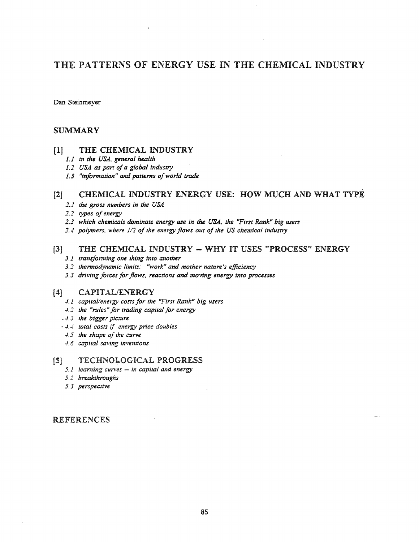# THE PATTERNS OF ENERGY USE IN THE CHEMICAL INDUSTRY

Dan Steinmeyer

# SUMMARY

#### [1] THE CHEMICAL INDUSTRY

- *1.1 in the USA, general health*
- *1.2 USA. as part ofa global industry*
- *1.3 "in/ormation" and patterns o/world* trade

# [2] CHEMICAL INDUSTRY ENERGY USE: HOW MUCH AND WHAT TYPE

- *2.1 th.e gross numbers in the USA*
- *2.2 types ofenergy*
- *2.3 which chemicals dominate energy use in the USA, the "First Rank" big users*
- *1.4 polymers. where* 1/2 *ojthe energy flows out ofthe US chemical industry*

# [3] THE CHEMICAL INDUSTRY -- WHY IT USES "PROCESS" ENERGY

- *3.1 transjomling one thing into another*
- *3.2 thermod.,vnamic limits: "work" and mother nature's effiCiency*
- *3.3 driving forces forflows, reactions and moving energy into processes*

## [4] CAPITAL/ENERGY

- 4.1 *capital/energy costs for the "First Rank" big users*
- *-t.2 the "rules" for trading capital for energy*
- .. -4.3 *the bigger picture*
- .. -t..J *total costs* if *energy price doubles*
- *.J.5 the shape of the curve*
- 4.6 *capital saving inventions*

#### TECHNOLOGICAL PROGRESS  $\mathbf{5}$

- *5.1 learning curves in* capilaJ *and energy*
- *5.2 brealahroughs*
- *5.3 perspective*

## REFERENCES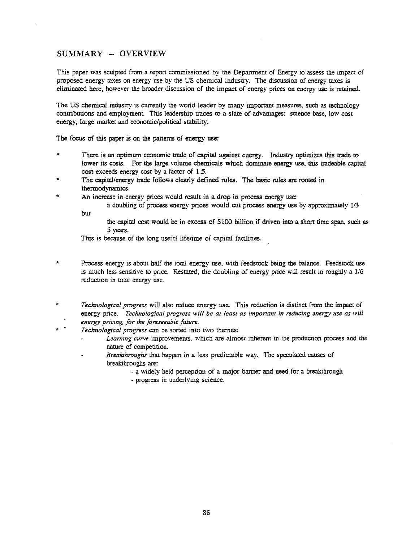# SUMMARY - OVERVIEW

but

This paper was sculpted from a report commissioned by the Department of Energy to assess the impact of proposed energy taxes on energy use by the US chemical industry. The discussion of energy taxes is eliminated here, however the broader discussion of the impact of energy prices on energy use is retained.

The US chemical industry is currently the world leader by many important measures, such as technology contributions and employment. This leadership traces to a slate of advantages: science base, low cost energy, large market and economic/political stability.

The focus of this paper is on the patterns of energy use:

- There is an optimum economic trade of capital against energy. Industry optimizes this trade to lower its costs. For the large volume chemicals which dominate energy use, this tradeable capital cost exceeds energy cost by a factor of 1.5.
- The capital/energy trade follows clearly defined rules. The basic rules are rooted in thermodynamics.
- An increase in energy prices would result in a drop in process energy use:

a doubling of process energy prices would cut process energy use by approximately 1/3

the capital cost would be in excess of \$100 billion if driven into a short time span., such as 5 years.

This is because of the long useful lifetime of capital facilities.

- Process energy is about half the total energy use, with feedstock being the balance.. Feedstock use is much less sensitive to price. Restated, the doubling of energy price will result in roughly a 1/6 reduction in total energy use.
- Á *Technological progress* will also reduce energy use.. This reduction is distinct from the impact of energy price. *Technological progress will be at least a.s important in reducing energy use as will energy pricing, for the foreseeable future.*
- *Technological progress* can be sorted into two themes:
	- Learning curve improvements. which are almost inherent in the production process and the nature of competition.
	- *Breakhroughs* that happen in a less predictable way. The speculated causes of breakthroughs are:
		- a widely held perception of a major barrier and need for a breakthrough
		- progress in underlying science.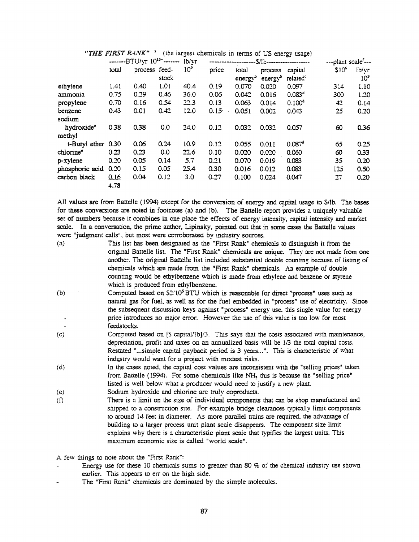|                       | -------BTU/yr 10 <sup>15--</sup> ------- |               | 1 <sub>b</sub> / <sub>vr</sub> |                 |       | -S/Ib-------------------- |                     | ---plant scale <sup>f</sup> --- |                   |                 |
|-----------------------|------------------------------------------|---------------|--------------------------------|-----------------|-------|---------------------------|---------------------|---------------------------------|-------------------|-----------------|
|                       | total                                    | process feed- |                                | 10 <sup>9</sup> | price | total                     | process             | capital                         | \$10 <sup>6</sup> | lb/yr           |
|                       |                                          |               | stock                          |                 |       | energy <sup>b</sup>       | energy $\mathbf{b}$ | related <sup>e</sup>            |                   | 10 <sup>9</sup> |
| ethylene              | 1.41                                     | 0.40          | 1.01                           | 40.4            | 0.19  | 0.070                     | 0.020               | 0.097                           | 314               | 1.10            |
| ammonia               | 0.75                                     | 0.29          | 0.46                           | 36.0            | 0.06  | 0.042                     | 0.016               | 0.083 <sup>d</sup>              | 300               | 1.20            |
| propylene             | 0.70                                     | 0.16          | 0.54                           | 22.3            | 0.13  | 0.063                     | 0.014               | $0.100^{d}$                     | 42                | 0.14            |
| benzene               | 0.43                                     | 0.01          | 0.42                           | 12.0            | 0.15  | 0.051                     | 0.002               | 0.043                           | 25                | 0.20            |
| sodium                |                                          |               |                                |                 |       |                           |                     |                                 |                   |                 |
| hydroxide®            | 0.38                                     | 0.38          | 0.0                            | 24.0            | 0.12  | 0.032                     | 0.032               | 0.057                           | 60                | 0.36            |
| methyl                |                                          |               |                                |                 |       |                           |                     |                                 |                   |                 |
| t-Butyl ether 0.30    |                                          | 0.06          | 0.24                           | 10.9            | 0.12  | 0.055                     | 0.011               | 0.087 <sup>d</sup>              | 65                | 0.25            |
| chlorine <sup>e</sup> | 0.23                                     | 0.23          | 0.0                            | 22.6            | 0.10  | 0.020                     | 0.020               | 0.060                           | 60                | 0.33            |
| p-xylene              | 0.20                                     | 0.05          | 0.14                           | 5.7             | 0.21  | 0.070                     | 0.019               | 0.083                           | 35                | 0.20            |
| phosphoric acid       | 0.20                                     | 0.15          | 0.05                           | 25.4            | 0.30  | 0.016                     | 0.012               | 0.083                           | 125               | 0.50            |
| carbon black          | 0.16                                     | 0.04          | 0.12                           | 3.0             | 0.27  | 0.100                     | 0.024               | 0.047                           | 27                | 0.20            |
|                       | 4.78                                     |               |                                |                 |       |                           |                     |                                 |                   |                 |

"THE FIRST RANK"<sup>2</sup> (the largest chemicals in terms of US energy usage)

All values are from Battelle (1994) except for the conversion of energy and capital usage to \$/lb. The bases for these conversions are noted in footnotes (a) and (b). The Battelle repon provides a uniquely valuable set of nwnbers because it combines in one place the effects of energy intensity, capital intensity and market scale. In a conversation, the prime author, Lipinsky, pointed out that in some cases the Battelle values were "judgment calls", but most were corroborated by industry sources.

- (a) This list has been designated as the "First Rank" chemicals to distinguish it from the original Battelle list. The "First Rank" chemicals are unique. They are not made from one another. The original Battelle list included substantial double counting because of listing of chemicals \vhich are made from the "First Rank" chemicals. An example of double counting would be ethylbenzene which is made from ethylene and benzene or styrene which is produced from ethylbenzene.
- (b) Computed based on  $52'10^6$  BTU which is reasonable for direct "process" uses such as natural gas for fuel, as well as for the fuel embedded in "process" use of electricity. Since the subsequent discussion keys against "process" energy use.. this single value for energy price introduces no major error. However the use of this value is too low for most feedstocks.
- (c) Computed based on [S capital/lb]/3. This says that the costs associated with maintenance, depreciation, profit and taxes on an annualized basis will be 1/3 the total capital costs. Restated "...simple capital payback period is 3 years...". This is characteristic of what industry would want for a project with modest risks.
- (d) In the cases noted, the capital cost values are inconsistent with the "selling prices" taken from Battelle (1994). For some chemicals like  $NH<sub>3</sub>$  this is because the "selling price" listed is well below what a producer would need to justify a new plant.
- (e) Sodium hydroxide and chlorine are truly coproducts.
- (f) There is a limit on the size of individual components that can be shop manufactured and shipped to a construction site. For example bridge clearances typically limit components to around 14 feet in diameter. As more parallel trains are required, the advantage of building to a larger process unit plant scale disappears. The component size limit explains why there is a characteristic plant scale that typifies the largest units. This maximum economic size is called "world scale".

A few things to note about the "First Rank":

- Energy use for these 10 chemicals sums to greater than 80 % of the chemical industry use shown earlier. This appears to err on the high side.
- The "First Rank" chemicals are dominated by the simple molecules.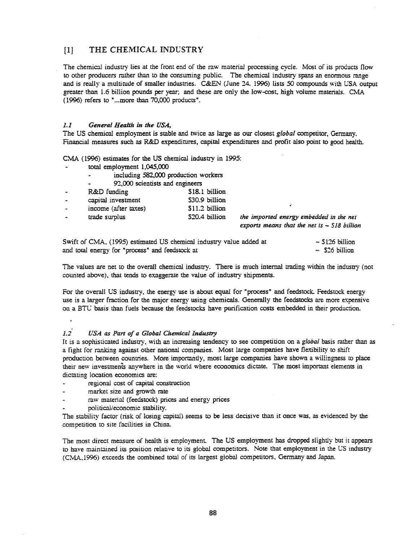# [IJ THE CHEMICAL INDUSTRY

The chemical industry lies at the front end of the raw material processing cycle. Most of its products flow to other producers rather than to the consuming public. The chemical industry spans an enormous range and is really a multitude of smaller industries. C&EN (June 24. 1996) lists 50 compounds with USA output greater than 1.6 billion pounds per year; and these are only the low-cost, high volume materials. CMA (1996) refers to "...more than 70,000 products".

#### *1.1 General HealtJl. in the USA,*

The US chemical employment is stable and twice as large as our closest *global* competitor, Germany. Financial measures such as R&D expenditures, capital expenditures and profit also point to good health.

CMA (1996) estimates for the US chemical industry in 1995:

- total employment 1,045,000
	- including 582.,000 production workers  $\ddot{\phantom{a}}$
	- 92,000 scientists and engineers

| $\sim$                   | R&D funding          | \$18.1 billion |
|--------------------------|----------------------|----------------|
| $\sim$                   | capital investment   | \$30.9 billion |
| $\overline{\phantom{0}}$ | income (after taxes) | \$11.2 billion |
| $\overline{\phantom{a}}$ | trade surplus        | \$20.4 billion |

the *imported* energy embedded in the net *exports means that the net is* - *S18 billion*

Swift of CMA, (1995) estimated US chemical industry value added at and total energy for "process" and feedstock at  $\sim$  \$126 billion  $\sim$  \$26 billion

The values are net to the overall chemical industry. There is much internal trading within the industry (not counted above), that tends to exaggerate the value of industry shipments..

For the overall US industry, the energy use is about equal for "process" and feedstock. Feedstock energy use is a larger fraction for the major energy using chemicals. Generally the feedstocks are more expensive on a BTU basis than fuels because the feedstocks have purification costs embedded in their production.

#### *1.2 USA as Part of* (J. *Global CJiemicaJ Industry*

It is a sophisticated industry, with an increasing tendency to see competition on a *global* basis rather than as a fight for ranking against other national companies. Most large companies have flexibility to shift production between countries, More importantly, most large companies have shown a willingness to place their new investments anywhere in the world where economics dictate. The most important elements in dictating location economics are:

- regional cost of capital construction
- market size and growth rate
- raw material (feedstock) prices and energy prices
- political/economic stability.

The stability factor (risk of losing capital) seems to be less decisive than it once was, as evidenced by the competition to site facilities in China.

The most direct measure of health is employment. The US employment has dropped slightly but it appears to have maintained its position relative to its global competitors. Note that employment in the CS industry (CMA.1996) exceeds the combined total of its largest global competitors, Germany and Japan.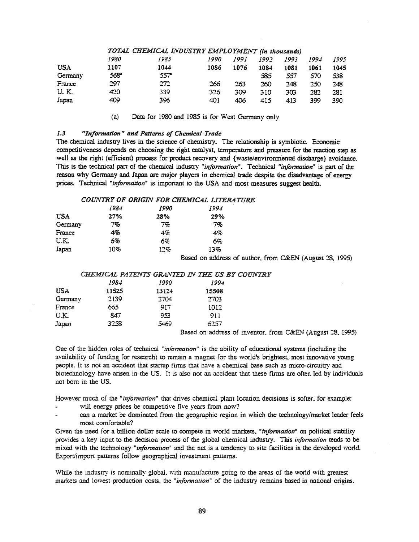|         |               | IUIAL CHEMICAL INDUSIRY EMPLUYMENI (in fhousands) |      |      |      |      |      |      |
|---------|---------------|---------------------------------------------------|------|------|------|------|------|------|
|         | 1980          | 1985                                              | 1990 | 1991 | 1992 | 1993 | 1994 | 1995 |
| USA     | 1107          | 1044                                              | 1086 | 1076 | 1084 | 1081 | 1061 | 1045 |
| Germany | $568^{\circ}$ | 557                                               |      |      | 585  | 557  | 570  | 538  |
| France  | 297           | 272                                               | 266  | 263  | 260  | 248  | 250  | 248  |
| U. K.   | 420           | 339                                               | 326  | 309  | 310  | 303  | 282  | 281  |
| Japan   | 409           | 396                                               | 401  | 406  | 415  | 413  | 399  | 390  |

#### *TOTAL CHEJ.WICAL I:.VDUSTRY EMPLOYlJtlE1VT* (in tJI.ousandsj

(a) Data for 1980 and 1985 is for West Gennany only

#### *1.3 "Information" and Patterns of Chemical Trade*

The chemical industry lives in the science of chemistry. The relationship is symbiotic. Economic competitiveness depends on choosing the right catalyst, temperature and pressure for the reaction step as well as the right (efficient) process for product recovery and {waste/environmental discharge} avoidance. This is the technical part of the chemical industry "*information*". Technical "*information*" is part of the reason why Germany and Japan are major players in chemical trade despite the disadvantage of energy prices. Technical *"information"* is important to the USA and most measures suggest health.

#### *COUNTRY OF ORIGIN FOR CHEMICAL UTERA1TJRE*

|            | 1984 | 1990 | 1994 |
|------------|------|------|------|
| <b>USA</b> | 27%  | 28%  | 29%  |
| Germany    | 7%   | 7%   | 7%   |
| France     | 4%   | 4%   | 4%   |
| U.K.       | 6%   | 6%   | 6%   |
| Japan      | 10%  | 12%  | 13%  |

Based on address of author, from C&EN (August 28, 1995)

#### *CHE.lfdICAL PATENTS GRAiVTED IN THE US BY COUNTRY*

|            | 1984  | 1990         | 1994            |  |                |  |
|------------|-------|--------------|-----------------|--|----------------|--|
| <b>USA</b> | 11525 | 13124        | 15508           |  |                |  |
| Germany    | 2139  | 2704         | 2703            |  |                |  |
| France     | 665   | 917          | 1012            |  |                |  |
| U.K.       | 847   | 953          | 911             |  |                |  |
| Japan      | 3258  | 5469         | 6257            |  |                |  |
|            |       | $\mathbf{m}$ | $\cdot$ $\cdot$ |  | <b>Section</b> |  |

Based on address of inventor, from C&EN (August 28, 1995)

One of the hidden roles of technical "*information*" is the ability of educational systems (including the availability of funding for research) to remain a magnet for the world's brightest, most innovative young people.. It is not an accident that startup firms that have a chemical base such as micro-circuitry and biotechnology have arisen in the US. It is also not an accident that these firms are often led by individuals not born in the US.

However much of the "*information*" that drives chemical plant location decisions is softer, for example:

- will energy prices be competitive five years from now?
- can a market be dominated from the geographic region in which the technology/market leader feels most comfortable?

Given the need for a billion dollar scale to compete in world markets, "*information*" on political stability provides a key input to the decision process of the global chemical industry. This *information* tends to be mixed with the technology "information" and the net is a tendency to site facilities in the developed world. Export/import patterns follow geographical investment patterns.

While the industry is nominally global, with manufacture going to the areas of the world with greatest markets and lowest production costs, the "*information*" of the industry remains based in national origins.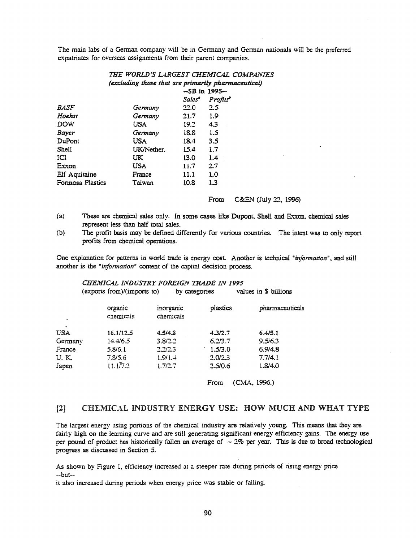The main labs of a German company will be in Germany and German nationals will be the preferred expatriates for overseas assignments from their parent companies.

## THE WORLD'S LARGEST CHEMICAL COMPANIES (excluding those that are primarily pharmaceutical)

|                  |            | <b>-SB</b> in 1995- |                      |
|------------------|------------|---------------------|----------------------|
|                  |            | Salesª              | Profits <sup>b</sup> |
| <i>BASF</i>      | Germany    | 22.0                | 2.5                  |
| Hoehst           | Germany    | 21.7                | 1.9                  |
| <b>DOW</b>       | USA        | 19.2                | 4.3                  |
| Bayer            | Germany    | 18.8                | 1.5                  |
| DuPont           | <b>USA</b> | 18.4                | 3.5                  |
| <b>Shell</b>     | UK/Nether. | 15.4                | 1.7                  |
| ICI              | UK.        | 13.0                | $1.4^{\circ}$        |
| Exxon            | <b>USA</b> | 11.7                | 2.7                  |
| Elf Aquitaine    | France     | 11.1                | 1.0                  |
| Formosa Plastics | Taiwan     | 10.8                | 1.3                  |

From C&EN (July 22, 1996)

- These are chemical sales only. In some cases like Dupont, Shell and Exxon, chemical sales  $(a)$ represent less than half total sales.
- $(b)$ The profit basis may be defined differently for various countries. The intent was to only report profits from chemical operations.

One explanation for patterns in world trade is energy cost. Another is technical "information", and still another is the "information" content of the capital decision process.

#### CHEMICAL INDUSTRY FOREIGN TRADE IN 1995 (exports from)/(imports to) by categories values in \$ billions

| organic<br>chemicals | inorganic<br>chemicals | plastics | pharmaceuticals |
|----------------------|------------------------|----------|-----------------|
|                      |                        |          |                 |
| 16.1/12.5            | 4.5/4.8                | 4.3/2.7  | 6.4/5.1         |
| 14.4/6.5             | 3.8/2.2                | 6.2/3.7  | 9.5/6.3         |
| 5.8/6.1              | 2.2/2.3                | 1.5/3.0  | 6.9/4.8         |
| 7.8/5.6              | 1.9/1.4                | 2.0/2.3  | 7.7/4.1         |
| 11.17.2              | 1.7/2.7                | 2,5/0.6  | 1.8/4.0         |
|                      |                        |          |                 |

(CMA, 1996.) From

#### CHEMICAL INDUSTRY ENERGY USE: HOW MUCH AND WHAT TYPE  $[2]$

The largest energy using portions of the chemical industry are relatively young. This means that they are fairly high on the learning curve and are still generating significant energy efficiency gains. The energy use per pound of product has historically fallen an average of  $\sim$  2% per year. This is due to broad technological progress as discussed in Section 5.

As shown by Figure 1, efficiency increased at a steeper rate during periods of rising energy price --but-

it also increased during periods when energy price was stable or falling.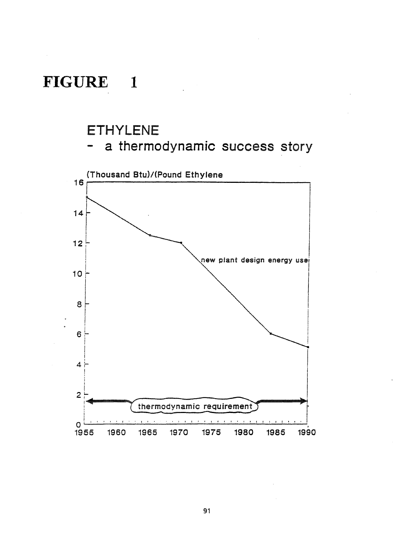# **FIGURE**  $\blacksquare$

# ETHYLENE

a thermodynamic success story



91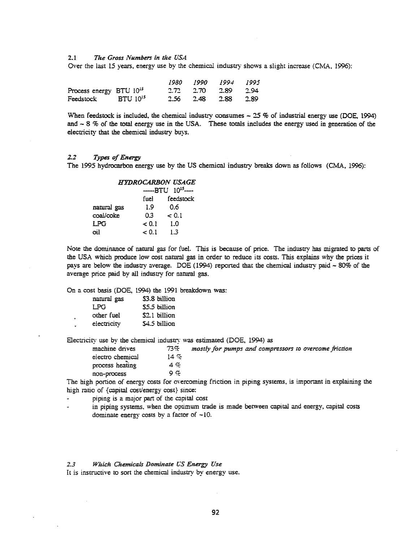#### 2.1 *The Gross Numbers in the USA*

Over the last 15 years, energy use by the chemical industry shows a slight increase (CMA, 1996):

|                                     |  | 1980 1990 1994 1995         |  |
|-------------------------------------|--|-----------------------------|--|
| Process energy BTU 10 <sup>15</sup> |  | $2.72$ $2.70$ $2.89$ $2.94$ |  |
| Feedstock BTU 10 <sup>15</sup>      |  | 2.56 2.48 2.88 2.89         |  |

When feedstock is included, the chemical industry consumes  $\sim$  25 % of industrial energy use (DOE, 1994) and  $\sim$  8 % of the total energy use in the USA. These totals includes the energy used in generation of the electricity that the chemical industry buys.

#### *1.2 Types ofEnergy*

The 1995 hydrocarbon energy use by the US chemical industry breaks down as follows (CMA, 1996):

|             |       | <b>HYDROCARBON USAGE</b> |
|-------------|-------|--------------------------|
|             |       | $-BTU$ $10^{15}$ ---     |
|             | fuel  | feedstock                |
| natural gas | 1.9   | 0.6                      |
| coal/coke   | 0.3   | < 0.1                    |
| <b>LPG</b>  | < 0.1 | 1.0                      |
| oil         | < 0.1 | 1.3                      |

Note the dominance of natural gas for fuel. This is because of price. The industry has migrated to parts of the USA which produce low cost natural gas in order to reduce its costs. This explains why the prices it pays are below the industry average. DOE (1994) reported that the chemical industry paid - 80% of the average price paid by all industry for natural gas.

On a cost basis (DOE, 1994) the 1991 breakdown was:

| natural gas | \$3.8 billion |
|-------------|---------------|
| LPG.        | \$5.5 billion |
| other fuel  | \$2.1 billion |
| electricity | \$4.5 billion |

Electricity use by the chemical industry was estimated (DOE, 1994) as

| machine drives   | 73%          | mostly for pumps and compressors to overcome friction |
|------------------|--------------|-------------------------------------------------------|
| electro chemical | $14 \degree$ |                                                       |
| process heating  | 4, 9         |                                                       |
| non-process      | 9.7          |                                                       |
|                  |              |                                                       |

The high portion of energy costs for overcoming friction in piping systems, is important in explaining the high ratio of {capital cost/energy cost} since:

piping is a major part of the capital cost

in piping systems, when the optimum trade is made between capital and energy, capital costs dominate energy costs by a factor of  $-10$ .

2.3 Which Chemicals Dominate US Energy Use

It is instructive to sort the chemical industry by energy use.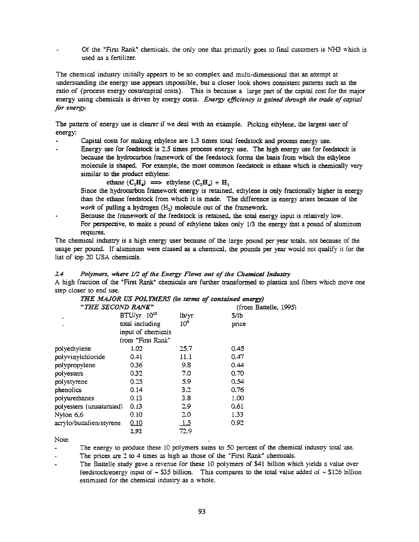Of the "First Rank" chemicals, the only one that primarily goes to final customers is NH3 which is used as a fertilizer.

The chemical industry initially appears to be so complex. and multi-dimensional that an attempt at understanding the energy use appears impossible, but a closer look shows consistent patterns such as the ratio of {process energy costs/capital costs}. This is because a large part of the capital cost for the major energy using chemicals is driven by energy costs. *Energy efficiency* is gained through the trade of capital *for energy.*

The pattern of energy use is clearer if we deal with an example. Picking ethylene, the largest user of energy:

- Capital costs for making ethylene are 1.3 times total feedstock and process energy use.
- Energy use for feedstock is 2.5 times process energy use. The high energy use for feedstock is because the hydrocarbon framework of the feedstock forms the basis from which the ethylene molecule is shaped. For example, the most common feedstock is ethane which is chemically very similar to the product ethylene:

$$
ethane (C_2H_6) \implies ethylene (C_2H_4) + H_2
$$

Since the hydrocarbon framework energy is retained, ethylene is only fractionally higher in energy than the ethane feedstock from which it is made. The difference in energy arises because of the *work* of pulling a hydrogen (H<sub>2</sub>) molecule out of the framework.

Because the framework of the feedstock is retained, the total energy input is relatively low. For perspective, to make a pound of ethylene takes only 1/3 the energy that a pound of aluminum requires.

The chemical industry is a high energy user because of the large pound per year totals. not because of the usage per pound. If aluminum were classed as a chemical, the pounds per year would not qualify it for the list of top 20 USA chemicals.

## 2.4 Polymers, where  $\mathcal{V}2$  of the Energy Flows out of the Chemical Industry

A high fraction of the "First Rank" chemicals are further transformed to plastics and fibers which move one step closer to end use.

|                          |                    |                 | THE MAJOR US POLYMERS (in terms of contained energy) |
|--------------------------|--------------------|-----------------|------------------------------------------------------|
| "THE SECOND RANK"        |                    |                 | (from Battelle, 1995)                                |
| ٠                        | $BTU/vr$ $10^{15}$ | lb/уг           | S/Ib                                                 |
| ۰                        | total including    | 10 <sup>9</sup> | price                                                |
|                          | input of chemicals |                 |                                                      |
|                          | from "First Rank"  |                 |                                                      |
| polyethylene             | 1.02               | 25.7            | 0.45                                                 |
| polyvinylchloride        | 0.41               | 11.1            | 0.47                                                 |
| polypropylene            | 0.36               | 9.8             | 0.44                                                 |
| polyesters               | 0.32               | 7.0             | 0.70                                                 |
| polystyrene              | 0.25               | 5.9             | 0.54                                                 |
| phenolics                | 0.14               | 3.2             | 0.76                                                 |
| polyurethanes            | 0.13               | 3.8             | 1.00                                                 |
| polyesters (unsaturated) | 0.13               | 2.9             | 0.61                                                 |
| Nylon 6,6                | 0.10               | 2.0             | 1.33                                                 |
| acrylo/butadien/styrene  | 0.10               | <u>_1.5</u>     | 0.92                                                 |
|                          | 2.92               | 72.9            |                                                      |

Note:

The energy to produce these 10 polymers sums to 50 percent of the chemical industry total use.

The prices are 2 to 4 times as high as those of the "First Rank" chemicals.

The Battelle study gave a revenue for these 10 polymers of \$41 billion which yields a value over feedstock/energy input of  $\sim$  S35 billion. This compares to the total value added of  $\sim$  \$126 billion estimated for the chemical industry as a whole.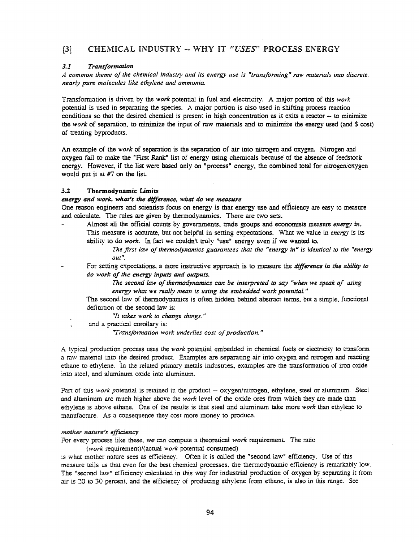# [3] CHEMICAL INDUSTRY -- WHY IT "USES" PROCESS ENERGY

#### *3.1 Transformation*

*A common theme ofthe chemical industry and its energy use is "transforming" raw materials into discrete, nearly pure molecules like ethylene and ammonia.* 

Transformation is driven by the *lvOrk* potential in fuel and electricity. A major portion of this *work* potential is used in separating the species. A major portion is also used in shifting process reaction conditions so that the desired chemical is present in high concentration as it exits a reactor -- to minimize the *work* of separation. to minimize the input of raw materials and to minimize the energy used (and \$ cost) of treating byproducts.

An example of the *work* of separation is the separation of air into nitrogen and oxygen. Nitrogen and oxygen fail to make the "First Rank" list of energy using chemicals because of the absence of feedstock energy. However, if the list were based only on "process" energy, the combined total for nitrogenioxygen would put it at #7 on the list.

#### 3.2 Thermodynamic Limits

#### *energy and work, what's the difference, what do we measu.re*

One reason engineers and scientists focus on energy is that energy use and efficiency are easy to measure and calculate. The rules are given by thermodynamics. There are two sets.

Almost all the official counts by governments., trade groups and economists measure *energy* in. This measure is accurate, but not helpful in setting expectations. What we value in *energy* is its ability to do work. In fact we couldn't truly "use" energy even if we wanted to.

> *The first law ofthermodynamics guarantees that the "energy* m" *is identical to the f'energy out".*

For setting expectations, a more instructive approach is to measure the *difference in the ability to do 'York ofthe energy inputs and outputs.*

> *The second law* of *thermodynamics can be interpreted* to *say* "when we *speak* of *using energy what we really ",ean is using the embedded work potential. <sup>n</sup>*

The second law of thermodynamics is often hidden behind abstract terms, but a simple, functional definition of the second law is:

*"!t lakes work to change things."*

and a practical corollary is:

*"Transformation* work *underlies* cost of production."

A typical production process uses the work potential embedded in chemical fuels or electricity to transform a raw material into the desired product. Examples are separating air into oxygen and nitrogen and reacting ethane to ethylene. In the related primary metals industries, examples are the transformation of iron oxide into steel, and aluminum oxide into aluminum.

Part of this *work* potential is retained in the product -- oxygen/nitrogen, ethylene, steel or aluminum. Steel and aluminum are much higher above the *work* level of the oxide ores from which they are made than ethylene is above ethane. One of the results is that steel and aluminum take more *work* than ethylene to manufacture. As a consequence they cost more money to produce.

#### *motiler nature's efficiency*

For every process like these, we can compute a theoretical *work* requirement. The ratio

*(work* requirement)/(actual *work* potential consumed)

is what mother nature sees as efficiency. Often it is called the "second law" efficiency. Use of this measure tells us that even for the best chemical processes.. the thermodynamic efficiency is remarkably low. The "second law" efficiency calculated in this way for industrial production of oxygen by separating it from air is 20 to 30 percent, and the efficiency of producing ethylene from ethane, is also in this range. See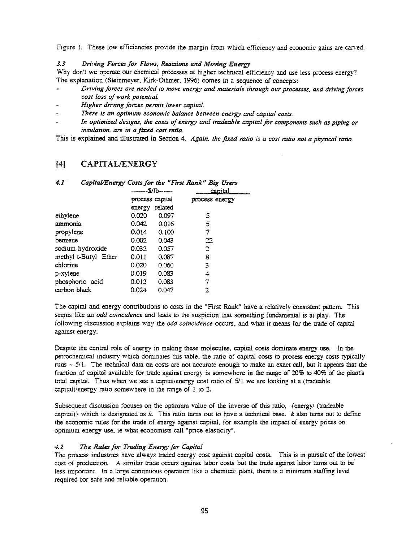Figure 1. These low efficiencies provide the margin from which efficiency and economic gains are carved.

#### *3.3 Driving Forces for Flows, Reactions and Moving Energy*

Why don't we operate our chemical processes at higher technical efficiency and use less process energy? The explanation (Steinmeyer, Kirk-Othmer, 1996) comes in a sequence of concepts:

- *Driving forces are needed to move energy and materials through our processes, and driving forces cost Joss ofwork potential.*
- *Higher driving forces permit 10lver capital.*
- *There is* an *optimum economic balance between energy and capital costs.*
- *In optimized designs, the costs of energy and tradeable capital for components such as piping or insulation, are in a frx:ed cost ratio.*

This is explained and illustrated in Section 4. *Again, the fixed ratio is a cost ratio not a ph}'sica/ ratio.*

# [4] CAPITAL/ENERGY

| 4.1                  | Capital/Energy Costs for the "First Rank" Big Users |         |                |  |  |  |  |  |  |
|----------------------|-----------------------------------------------------|---------|----------------|--|--|--|--|--|--|
|                      | -------S/lb------                                   |         | capital        |  |  |  |  |  |  |
|                      | process capital                                     |         | process energy |  |  |  |  |  |  |
|                      | energy                                              | related |                |  |  |  |  |  |  |
| ethylene             | 0.020                                               | 0.097   | 5              |  |  |  |  |  |  |
| ammonia              | 0.042                                               | 0.016   | 5              |  |  |  |  |  |  |
| propylene            | 0.014                                               | 0.100   | 7              |  |  |  |  |  |  |
| benzene              | 0.002                                               | 0.043   | 22             |  |  |  |  |  |  |
| sodium hydroxide     | 0.032                                               | 0.057   | 2              |  |  |  |  |  |  |
| methyl t-Butyl Ether | 0.011                                               | 0.087   | 8              |  |  |  |  |  |  |
| chlorine             | 0.020                                               | 0.060   | 3              |  |  |  |  |  |  |
| p-xylene             | 0.019                                               | 0.083   | 4              |  |  |  |  |  |  |
| phosphoric acid      | 0.012                                               | 0.083   | 7              |  |  |  |  |  |  |
| carbon black         | 0.024                                               | 0.047   | 2              |  |  |  |  |  |  |

The capital and energy contributions to costs in the "First Rank" have a relatively consistent pattern. This seems like an *odd coincidence* and leads to the suspicion that something fundamental is at play. The following discussion explains why the *odd coincidence* occurs, and what it means for the trade of capital against energy.

Despite the central role of energy in making these molecules, capital costs dominate energy use. In the petrochemical industry which dominates this table., the ratio of capital costs to process energy costs typically runs - *5i1.* The technical data on costs are not accurate enough to make an exact call., but it appears that the fraction of capital available for trade against energy is somewhere in the range of 20% to 40% of the plant's total capital. Thus when we see a capital/energy cost ratio of  $5/1$  we are looking at a (tradeable capital)/energy ratio somewhere in the range of 1 to 2.

Subsequent discussion focuses on the optimum value of the inverse of this ratio. {energy/ (tradeable capital)} which is designated as  $k$ . This ratio turns out to have a technical base.  $k$  also turns out to define the economic rules for the trade of energy against capital, for example the impact of energy prices on optimum energy use., ie what economists call "price elasticity".

#### *4.2 The Rules for Trading Energy for Capital*

The process industries have always traded energy cost against capital costs. This is in pursuit of the lowest cost of production. A similar trade occurs against labor costs but the trade against labor turns out to be less important. In a large continuous operation like a chemical plant. there is a minimum staffing level required for safe and reliable opemtion.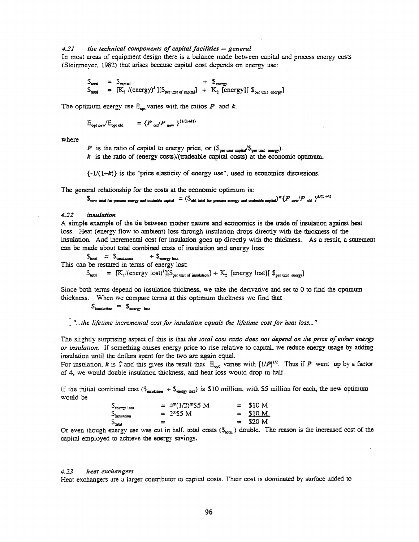#### $4.21$ the technical components of capital facilities - general

In most areas of equipment design there is a balance made between capital and process energy costs (Steinmever, 1982) that arises because capital cost depends on energy use:

$$
\begin{array}{rcl}\n\mathfrak{S}_{\text{total}} & = & \mathfrak{S}_{\text{circuit}} \\
\mathfrak{S}_{\text{total}} & = & [K_1 / (\text{energy})^k][\mathfrak{S}_{\text{per unit of capital}}] + K_2 \text{ [energy]} \text{ [S}_{\text{per unit energy}}]\n\end{array}
$$

The optimum energy use  $E_{\text{out}}$  varies with the ratios  $P$  and  $k$ .

$$
E_{\text{out new}}/E_{\text{out old}} = \{P_{\text{old}}/P_{\text{new}}\}^{(1/(1+k))}
$$

where

P is the ratio of capital to energy price, or  $(\mathcal{S}_{per,min}, \mathcal{S}_{per,min}, \mathcal{S}_{per,min}, \mathcal{S}_{per,min})$ .<br>
k is the ratio of (energy costs)/(tradeable capital costs) at the economic optimum.

 $\{-1/(1+k)\}\$ is the "price elasticity of energy use", used in economics discussions.

The general relationship for the costs at the economic optimum is:

 $\mathbb{S}_{\text{new tool for process energy and tradeable capital}} = (\mathbb{S}_{\text{old total for process energy and tradeable capital}}) * \{P_{\text{new}}/P_{\text{old}}\}^{k/(1 \to k)}$ 

#### $4.22$ insulation

A simple example of the tie between mother nature and economics is the trade of insulation against heat loss. Heat (energy flow to ambient) loss through insulation drops directly with the thickness of the insulation. And incremental cost for insulation goes up directly with the thickness. As a result, a statement can be made about total combined costs of insulation and energy loss:

 $\mathcal{S}_{total} = \mathcal{S}_{institution} + \mathcal{S}_{energy loss}$ <br>This can be restated in terms of energy lost:  $S_{\text{total}} = [K_1/(\text{energy lost})^1][S_{\text{year unit of insulation}}] + K_2$  [energy lost][  $S_{\text{per unit energy}}$ 

Since both terms depend on insulation thickness, we take the derivative and set to 0 to find the optimum thickness. When we compare terms at this optimum thickness we find that

 $S_{\text{lassulation}} = S_{\text{energy loss}}$ 

"...the lifetime incremental cost for insulation equals the lifetime cost for heat loss..."

The slightly surprising aspect of this is that the total cost ratio does not depend on the price of either energy or insulation. If something causes energy price to rise relative to capital, we reduce energy usage by adding insulation until the dollars spent for the two are again equal.

For insulation, k is  $\Gamma$  and this gives the result that  $E_{opt}$  varies with  $[1/P]^{1/2}$ . Thus if P went up by a factor of 4, we would double insulation thickness, and heat loss would drop in half.

If the initial combined cost ( $S_{\text{insubson}} + S_{\text{energy loss}}$ ) is \$10 million, with \$5 million for each, the new optimum would be

| $S_{\rm energy~loss}$ |   |            | $= 4*(1/2)*55$ M |  | $=$ S <sub>10</sub> M |  |
|-----------------------|---|------------|------------------|--|-----------------------|--|
| S<br>Sinsulaaca       |   | $= 2*55 M$ |                  |  | $=$ \$10 M            |  |
| $S_{\rm total}$       | 霊 |            |                  |  | $=$ \$20 M            |  |
|                       |   |            |                  |  |                       |  |

Or even though energy use was cut in half, total costs  $(S_{total})$  double. The reason is the increased cost of the capital employed to achieve the energy savings.

#### $4.23$ heat exchangers

Heat exchangers are a larger contributor to capital costs. Their cost is dominated by surface added to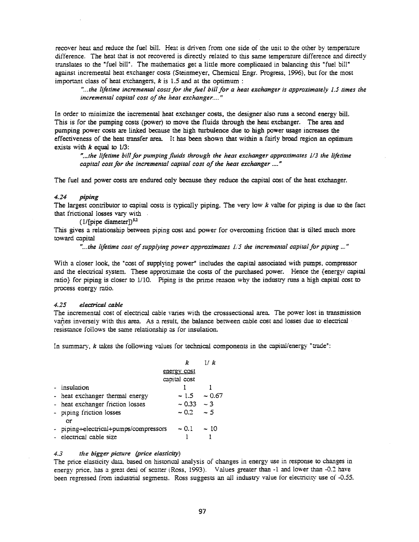recover heat and reduce the fuel bill. Heat is driven from one side of the unit to the other by temperature difference. The heat that is not recovered is directly related to this same temperature difference and directly translates to the "fuel bill". The mathematics get a little more complicated in balancing this "fuel bill" against incremental heat exchanger costs (Steinmeyer, Chemical Engr. Progress, 1996), but for the most important class of heat exchangers,  $k$  is 1.5 and at the optimum:

*"...the lifetime incremental COSlS for the fuel bill for a heat exchanger is approximately l.j times the incremental capital cost of the heat exchanger....*"

In order to minimize the incremental heat exchanger *costs,* the designer *also* runs a second energy bill. This is for the pumping costs (power) to move the fluids through the heat exchanger. The area and pumping power costs are linked because the high turbulence due to high power usage increases the effectiveness of the heat transfer area. It has been shown that within a fairly broad region an optimum exists with  $k$  equal to  $1/3$ :

*"...the lifetime billfor pumping fluids through the heat exchanger approrimates* 1/.3 *the lifetime capital cost for the incremental capital cost ofthe heat exchanger* .... "

The fuel and power costs are endured only because they reduce the capital cost of the heat exchanger.

#### *4-.14* piping

The largest contributor to capital costs is typically piping. The very low *k* value for piping is due to the fact that frictional losses vary with .

 $(1/[pipe diameter])^{5.2}$ 

This gives a relationship between piping cost and power for overcoming friction that is tilted much more toward capital

*"...the lifetime cost ofsupplying power appro:dmares* 1/'5 *the incremental capical for piping* ... "

With a closer look, the "cost of supplying power" includes the capital associated with pumps, compressor and the electrical system. These approximate the costs of the purchased power. Hence the {energy/ capital ratio} for piping is closer to 1/10. Piping is the prime reason why the industry runs a high capital cost to process energy ratio.

#### $4.25$  electrical cable

The incremental cost of electrical cable varies wirh the crosssectional area. The power lost in transmission varies inversely with this area. As a result, the balance between cable cost and losses due to electrical . resistance follows the same relationship as for insulation.

In summary, k takes the following values for technical components in the capital/energy "trade":

|    |                                       |                    | 11 k     |
|----|---------------------------------------|--------------------|----------|
|    |                                       | <u>energy</u> cost |          |
|    |                                       | capital cost       |          |
|    | - insulation                          |                    |          |
|    | - heat exchanger thermal energy       | $-1.5$             | ~10.67   |
|    | - heat exchanger friction losses      | $\sim 0.33$        | $\sim$ 3 |
|    | - piping friction losses<br>or        | ~10.2              | $\sim$ 5 |
|    | - piping-electrical+pumps/compressors | $\sim 0.1 - 10$    |          |
| a, | electrical cable size                 |                    |          |

#### *4..3 tile bigger picture (price elasticity)*

The price elasticity data. based on historical analysis of changes in energy use in response to changes in energy price, has a great deal of scatter (Ross, 1993). Values greater than -1 and lower than -0.2 have been regressed from industrial segments. Ross suggests an all industry value for electricity use of -0.55.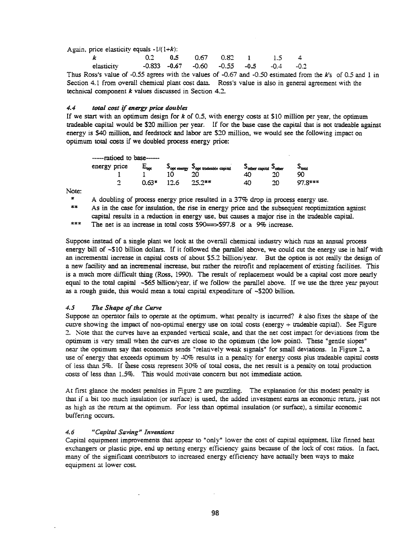Again, price elasticity equals  $-1/(1+k)$ :

| $\mathbf{k}$ | $0.2$ $0.5$ $0.67$ $0.82$ 1 $1.5$ 4 |  |  |                                                       |  |
|--------------|-------------------------------------|--|--|-------------------------------------------------------|--|
| elasticity   |                                     |  |  | $-0.833$ $-0.67$ $-0.60$ $-0.55$ $-0.5$ $-0.4$ $-0.2$ |  |

Thus Ross's value of -0.55 agrees with the values of -0.67 and -0.50 estimated from the  $k$ 's of 0.5 and 1 in Section 4.1 from overall chemical plant cost data. Ross's value is also in general agreement with the technical component *k* values discussed in Section 4.2.

#### 4.4 *total cost* if *energy price doubles*

If we start with an optimum design for  $k$  of 0.5, with energy costs at \$10 million per year, the optimum tradeable capital would be \$20 million per year. If for the base case the capital that is not tradeable against energy is \$40 million, and feedstock and labor are \$20 million, we would see the following impact on optimum total costs if we doubled process energy price:

| ------rationd to base- |           |      |                                                                                      |                                                                   |           |                             |
|------------------------|-----------|------|--------------------------------------------------------------------------------------|-------------------------------------------------------------------|-----------|-----------------------------|
| energy price           | $E_{opt}$ |      | $\mathcal{S}_{\text{opt energy}}$ $\mathcal{S}_{\text{opt}\text{ tradable capital}}$ | $\mathcal{S}_{\text{other capital}}$ $\mathcal{S}_{\text{other}}$ |           | $\mathcal{P}_{\text{test}}$ |
|                        |           |      | ንበ                                                                                   | 40                                                                | າ∩        | 90                          |
| 灬<br>4000              | $0.63*$   | 17 6 | $25.2**$                                                                             | 40                                                                | <u>າດ</u> | $978***$                    |

Note:

\* A doubling of process energy price resulted in a  $37\%$  drop in process energy use.

\*\* As in the case for insulation, the rise in energy price and the subsequent reoptimization against capital results in a reduction in energy use., but causes a major rise in the tradeable capital.

\*\*\* The net is an increase in total costs  $90 \rightarrow 97.8$  or a 9% increase.

Suppose instead of a single plant we look at the overall chemical industry which runs an annual process energy bill of ~\$10 billion dollars. If it followed the parallel above, we could cut the energy use in half with an incremental increase in capital costs of about \$5.2 billioniyear. But the option is not really the design of a new facility and an incremental increase, but rather the retrofit and replacement of existing facilities. This is a much more difficult thing (Ross, 1990). The result of replacement would be a capital cost more nearly equal to the total capital ~\$65 billion/year. if we follow the parallel above. If we use the three year payout as a rough guide., this would mean a total capital expenditure of -\$200 billion.

#### *4.5 111,e Shape ofthe Curve*

Suppose an operator fails to operate at the optimum, what penalty is incurred?  $k$  also fixes the shape of the curve showing the impact of non-optimal energy use on total costs (energy + tradeable capital). See Figure :2. Note that the curves have an expanded vertical scale., and that the net cost impact for deviations from the optimum is very small when the curves are close to the optimum (the low point). These "gentle siopes" near the optimum say that economics sends "relatively weak signals" for small deviations. In Figure 2, a use of energy that exceeds optimum by  $40\%$  results in a penalty for energy costs plus tradeable capital costs of less than 5%. If these costs represent 30% of total costs, the net result is a penalty on total production costs of less than 1.5%. This would motivate concern but not immediate action.

At first glance the modest penalties in Figure 2 are puzzling. The explanation for this modest penalty is that if a bit too much insulation (or surface) is used., the added investment earns an economic return.. just not as high as the rerum at the optimum. For less than optimal insulation (or surface), a similar economic buffering occurs.

#### *4.6 "Capitol Saving" Inventions*

Capital equipment improvements that appear to "only" lower the cost of capital equipment, like finned heat exchangers or plastic pipe, end up netting energy efficiency gains because of the lock of cost ratios. In fact, many of the significant contributors to increased energy efficiency have actually been ways to make equipment at lower cost.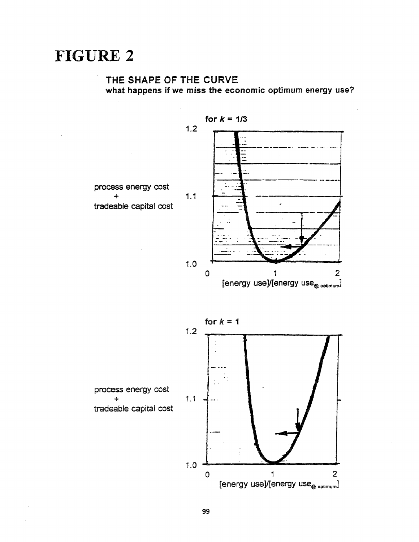# FIGURE 2

# THE SHAPE OF THE CURVE what happens if we miss the economic optimum energy use?

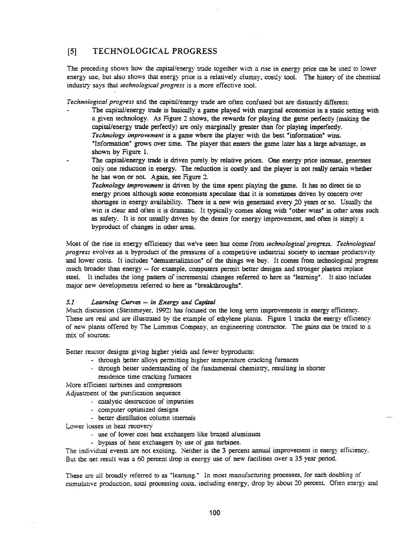# [5] TECHNOLOGICAL PROGRESS

The preceding shows how the capital/energy trade together with a rise in energy price can be used to lower energy use, but also shows that energy price is a relatively clumsy, costly tool. The history of the chemical industry says that *technological progress* is a more effective tool.

*Technological progress* and the capitll/energy trade are often confused but are distinctly different:

- The capital/energy trade is basically a game played with marginal economics in a static setting with a given technology. As Figure 2 shows, the rewards for playing the game perfectly (making the capital/energy trade perfectly) are only marginally greater than for playing imperfectly. *Technology improvement* is a game where the player with the best "information" wins. "Information" grows over time. The player that enters the game later has a large advantage, as shown by Figure 1.
- The capital/energy trade is driven purely by relative prices. One energy price increase., generates only one reduction in energy. The reduction is costly and the player is not really certain whether he has won or not. Again, see Figure 2.

*Technology improvement* is driven by the time spent playing the game. It has no direct tie to energy prices although some economists speculate that it is sometimes driven by concern over shortages in energy availability. There is a new win generated every 20 years or so. Usually the win is clear and often it is dramatic. It typically comes along with "other wins" in other areas such as safety. It is not usually driven by the desire for energy improvement, and often is simply a byproduct of changes in other areas.

l\t1ost of the rise in energy efficiency that \VerVe seen has come from *technological progress. Technological progress* evolves as a byproduct of the pressures of a competitive industrial society to increase productivity and lower costs. It includes "dematerialization" of the things we buy. It comes from technological progress much broader than energy -- for example, computers pennit better designs and stronger plastics replace steel. It includes the long pattern of incremental changes referred to here as "learning". It also includes major new developments referred to here as "breakthroughs".

#### *5.1 Learn.ing Curves* -- in *Energy and Capital*

Much discussion (Steinmeyer.. 1992) has focused on the long term improvements in energy efficiency. These are real and are illustrated by the example of ethylene plants. Figure 1 tracks the energy efficiency of new plants offered by The Lummus Company, an engineering contractor. The gains can be traced to a mix of sources:

Better reactor designs giving higher yields and fewer byproducts:

- through better alloys permitting higher temperature cracking furnaces
- through better understanding of the fundamental chemistry, resulting in shorter residence time cracking furnaces

More efficient turbines and compressors Adjustment of the purification sequence

- catalytic destruction of impurities
- computer optimized designs
- better distillation column internals

Lower losses in heat recovery

- use of lower cost heat exchangers like brazed aluminum
- bypass of heat exchangers by use of gas turbines.

The individual events are not exciting. Neither is the 3 percent annual improvement in energy efficiency. But the net result was a 60 percent drop in energy use of new facilities over a 35 year period.

These are all broadly referred to as "learning." In most manufacturing processes, for each doubling of cumulative production, total processing costs, including energy, drop by about 20 percent. Often energy and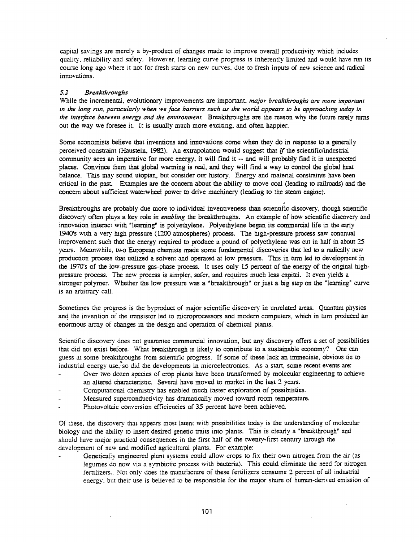capital savings are merely a by-product of changes made to improve overall productivity which includes quality, reliability and safety. However, learning curve progress is inherently limited and would have run its course long ago where it not for fresh starts on new curves, due to fresh inputs of new science and radical innovations.

### 5.2 **Breakthroughs**

While the incremental, evolutionary improvements are important, *major breakthroughs are more important* in the long run, particularly when we face barriers such as the world appears to be approaching today in *the inteFface between energy and the environment.* Breakthroughs are the reason why the future rarely tums out the way we foresee it It is usually much more exciting, and often happier.

Some economists believe that inventions and innovations come when they do in response to a generally perceived constraint (Haustein, 1982). An extrapolation would suggest that if the scientific/industrial community sees an imperative for more energy, it will find it - and will probably find it in unexpected places. Convince them that global warming is real, and they will find a way to control the global heat balance. This may sound utopian, but consider our history. Energy and material constraints have been critical in the past. Examples are the concern about the ability to move coal (leading to railroads) and the concern about sufficient waterwheel power to drive machinery (leading to the steam engine).

Breakthroughs are probably due more to individual inventiveness than scientific discovery, though scientific discovery often plays a key role in *enabling* the breakthroughs. An example of how scientific discovery and innovation interact with "learning" is polyethylene. Polyethylene began its commercial life in the early 1940's with a very high pressure (1200 atmospheres) process. The high-pressure process saw continual improvement such that the energy required to produce a pound of polyethylene was cut in half in about 15 years. Meanwhile, two European chemists made some fundamental discoveries that led to a radically new production process that utilized a solvent and operated at low pressure. This in tum led to development in the 1970's of the low-pressure gas-phase process. It uses only 15 percent of the energy of the original highpressure process. The new process is simpler, safer, and requires much less capital. It even yields a stronger polymer. Whether the low pressure was a "breakthrough" or just a big step on the "learning" curve is an arbitrary call.

Sometimes the progress is the byproduct of major scientific discovery in unrelated areas. Quantum physics and the invention of the transistor led to microprocessors and modern computers, which in turn produced an enormous array of changes in the design and operation of chemical plants.

Scientific discovery does not guarantee commercial innovation, but any discovery offers a set of possibilities that did not exist before. What breakthrough is likely to contribute to a sustainable economy? One can guess at some breakthroughs from scientific progress. If some of these lack an immediate, obvious tie to industrial energy use, so did the developments in microelectronics. As a start, some recent events are:

- Over two dozen species of crop plants have been transformed by molecular engineering to achieve an altered characteristic. Several have moved to market in the last 2 years.
- Computational chemistry has enabled much faster exploration of possibilities.
- Measured superconductivity has dramatically moved toward room temperature.
- Photovoltaic conversion efficiencies of 35 percent have been achieved.

Of these, the discovery that appears most latent with possibilities today is the understanding of molecular biology and the ability to insert desired genetic traits into plants. This is clearly a "breakthrough" and should have major pmctical consequences in the first half of the twenty-first century through the development of new and modified agricultural plants. For example:

Genetically engineered plant systems could allow crops to fix their own nitrogen from the air (as legumes do now via a symbiotic process with bacteria). This could eliminate the need for nitrogen fertilizers.. Not only does the manufacture of these fertilizers consume 2 percent of all industrial energy, but their use is believed to be responsible for the major share of human-derived emission of